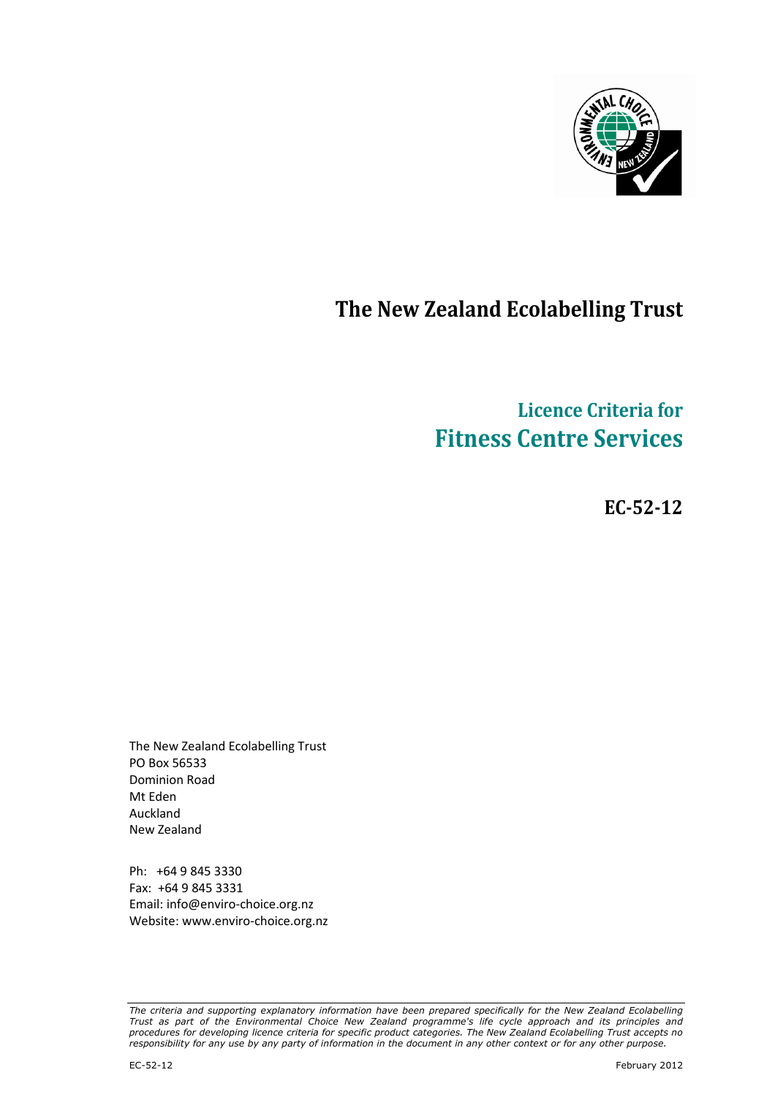

## The New Zealand Ecolabelling Trust

# Licence Criteria for Fitness Centre Services

EC-52-12

The New Zealand Ecolabelling Trust PO Box 56533 Dominion Road Mt Eden Auckland New Zealand

Ph: +64 9 845 3330 Fax: +64 9 845 3331 Email: info@enviro-choice.org.nz Website: www.enviro-choice.org.nz

The criteria and supporting explanatory information have been prepared specifically for the New Zealand Ecolabelling Trust as part of the Environmental Choice New Zealand programme's life cycle approach and its principles and procedures for developing licence criteria for specific product categories. The New Zealand Ecolabelling Trust accepts no responsibility for any use by any party of information in the document in any other context or for any other purpose.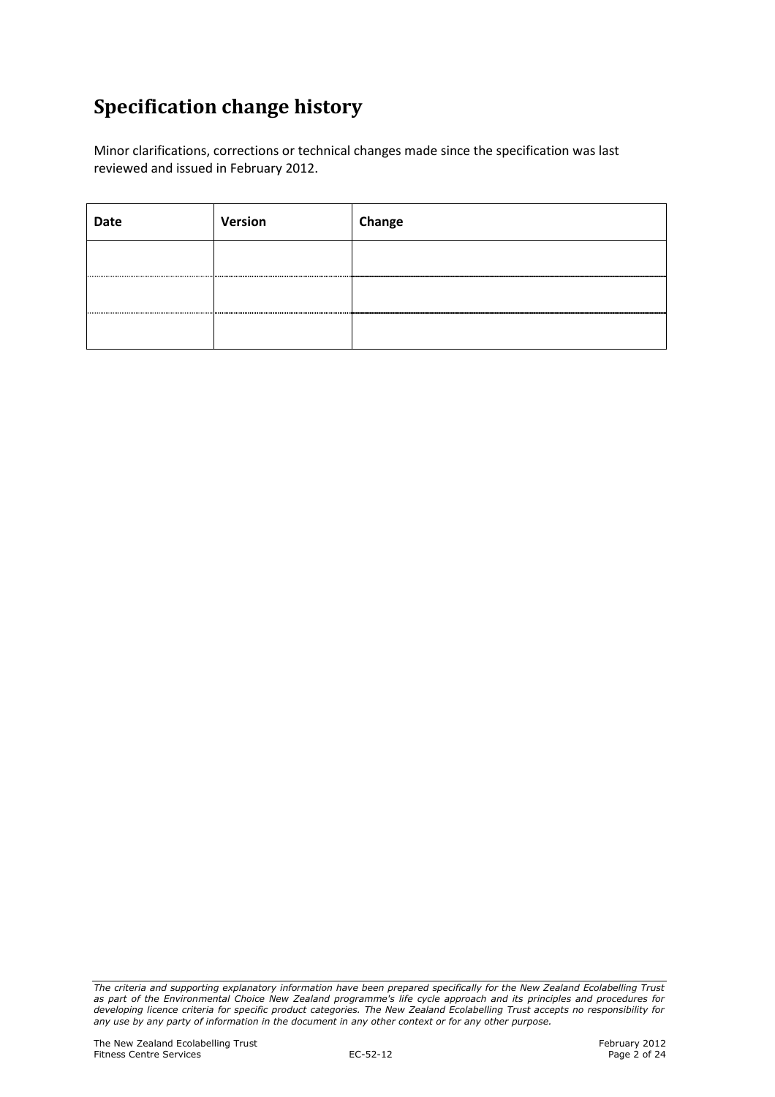## Specification change history

Minor clarifications, corrections or technical changes made since the specification was last reviewed and issued in February 2012.

| Date | Version | Change |
|------|---------|--------|
|      |         |        |
|      |         |        |
| 0    |         |        |

The criteria and supporting explanatory information have been prepared specifically for the New Zealand Ecolabelling Trust as part of the Environmental Choice New Zealand programme's life cycle approach and its principles and procedures for developing licence criteria for specific product categories. The New Zealand Ecolabelling Trust accepts no responsibility for any use by any party of information in the document in any other context or for any other purpose.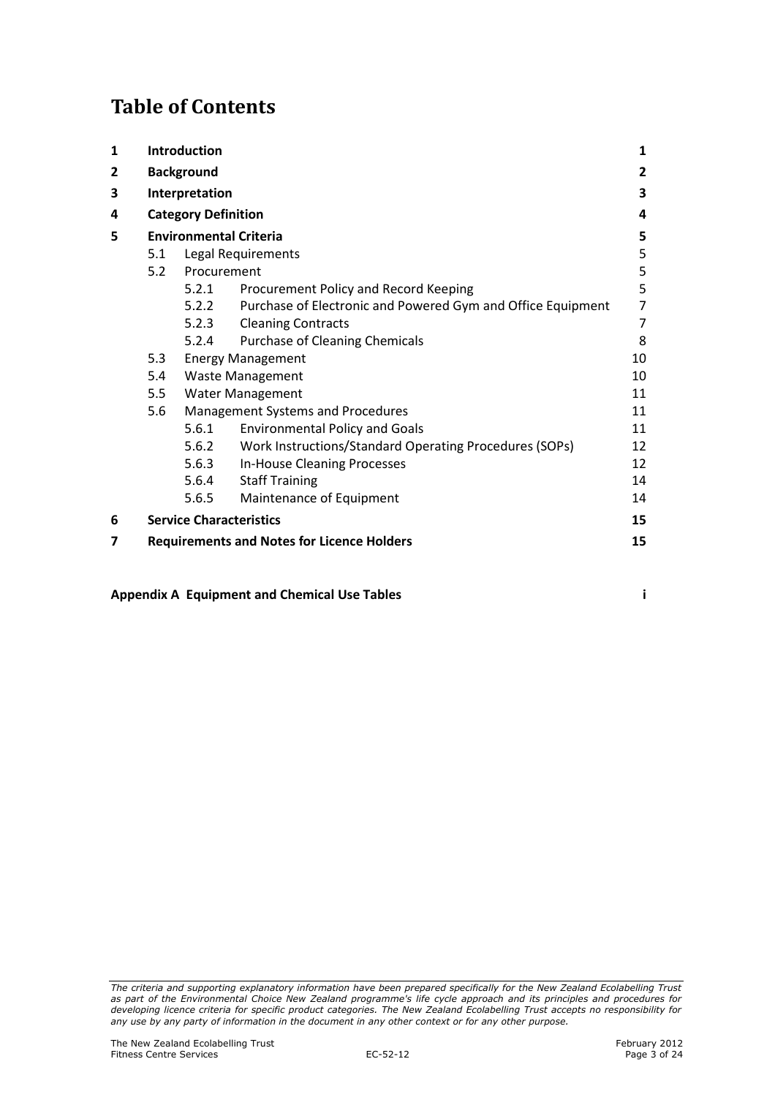## Table of Contents

| $\mathbf{1}$ |                                      | Introduction      |                                                             | 1              |  |  |  |  |
|--------------|--------------------------------------|-------------------|-------------------------------------------------------------|----------------|--|--|--|--|
| 2            |                                      | <b>Background</b> |                                                             | $\overline{2}$ |  |  |  |  |
| 3            | Interpretation                       |                   |                                                             |                |  |  |  |  |
| 4            | <b>Category Definition</b>           |                   |                                                             |                |  |  |  |  |
| 5            |                                      |                   | <b>Environmental Criteria</b>                               | 5              |  |  |  |  |
|              | 5.1                                  |                   | Legal Requirements                                          | 5              |  |  |  |  |
|              | 5.2                                  | Procurement       |                                                             | 5              |  |  |  |  |
|              |                                      | 5.2.1             | Procurement Policy and Record Keeping                       | 5              |  |  |  |  |
|              |                                      | 5.2.2             | Purchase of Electronic and Powered Gym and Office Equipment | 7              |  |  |  |  |
|              |                                      | 5.2.3             | <b>Cleaning Contracts</b>                                   | $\overline{7}$ |  |  |  |  |
|              |                                      | 5.2.4             | Purchase of Cleaning Chemicals                              | 8              |  |  |  |  |
|              | 5.3<br><b>Energy Management</b>      |                   |                                                             |                |  |  |  |  |
|              | 10<br>5.4<br><b>Waste Management</b> |                   |                                                             |                |  |  |  |  |
|              | 5.5                                  |                   | Water Management                                            | 11             |  |  |  |  |
|              | 5.6                                  |                   | Management Systems and Procedures                           | 11             |  |  |  |  |
|              |                                      | 5.6.1             | <b>Environmental Policy and Goals</b>                       | 11             |  |  |  |  |
|              |                                      | 5.6.2             | Work Instructions/Standard Operating Procedures (SOPs)      | 12             |  |  |  |  |
|              |                                      | 5.6.3             | In-House Cleaning Processes                                 | 12             |  |  |  |  |
|              |                                      | 5.6.4             | <b>Staff Training</b>                                       | 14             |  |  |  |  |
|              |                                      | 5.6.5             | Maintenance of Equipment                                    | 14             |  |  |  |  |
| 6            |                                      |                   | <b>Service Characteristics</b>                              | 15             |  |  |  |  |
| 7            |                                      |                   | <b>Requirements and Notes for Licence Holders</b>           | 15             |  |  |  |  |
|              |                                      |                   |                                                             |                |  |  |  |  |

Appendix A Equipment and Chemical Use Tables i

The criteria and supporting explanatory information have been prepared specifically for the New Zealand Ecolabelling Trust as part of the Environmental Choice New Zealand programme's life cycle approach and its principles and procedures for developing licence criteria for specific product categories. The New Zealand Ecolabelling Trust accepts no responsibility for any use by any party of information in the document in any other context or for any other purpose.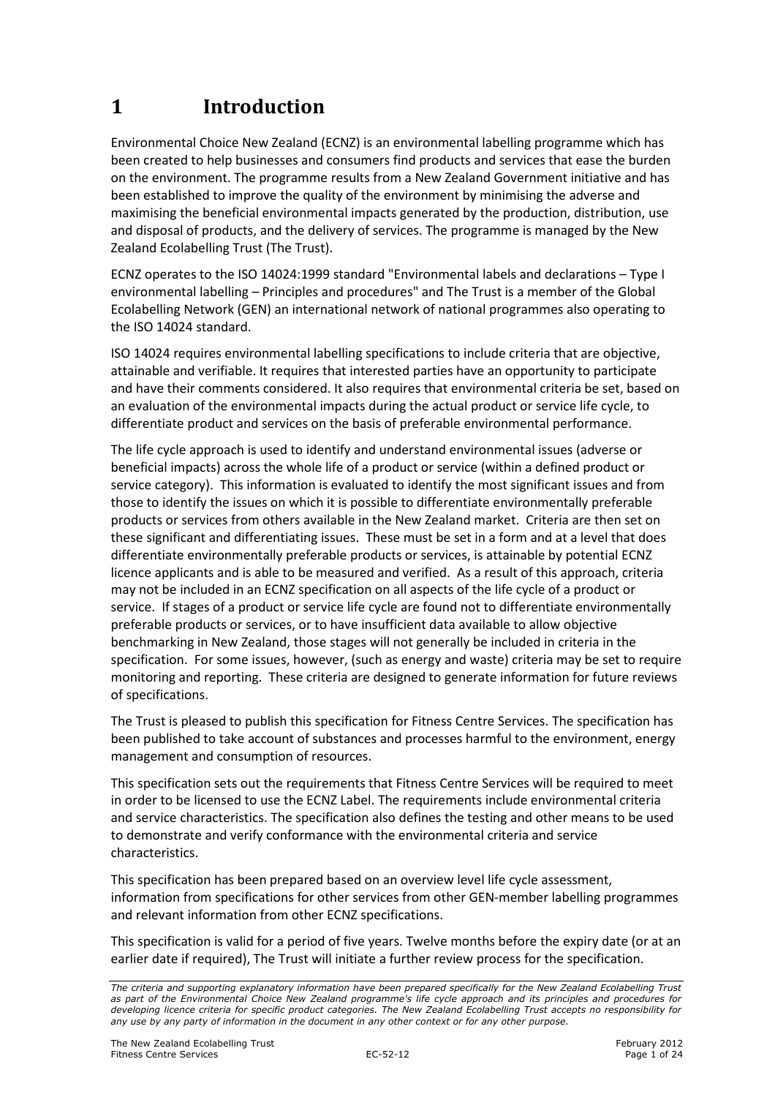## 1 Introduction

Environmental Choice New Zealand (ECNZ) is an environmental labelling programme which has been created to help businesses and consumers find products and services that ease the burden on the environment. The programme results from a New Zealand Government initiative and has been established to improve the quality of the environment by minimising the adverse and maximising the beneficial environmental impacts generated by the production, distribution, use and disposal of products, and the delivery of services. The programme is managed by the New Zealand Ecolabelling Trust (The Trust).

ECNZ operates to the ISO 14024:1999 standard "Environmental labels and declarations – Type I environmental labelling – Principles and procedures" and The Trust is a member of the Global Ecolabelling Network (GEN) an international network of national programmes also operating to the ISO 14024 standard.

ISO 14024 requires environmental labelling specifications to include criteria that are objective, attainable and verifiable. It requires that interested parties have an opportunity to participate and have their comments considered. It also requires that environmental criteria be set, based on an evaluation of the environmental impacts during the actual product or service life cycle, to differentiate product and services on the basis of preferable environmental performance.

The life cycle approach is used to identify and understand environmental issues (adverse or beneficial impacts) across the whole life of a product or service (within a defined product or service category). This information is evaluated to identify the most significant issues and from those to identify the issues on which it is possible to differentiate environmentally preferable products or services from others available in the New Zealand market. Criteria are then set on these significant and differentiating issues. These must be set in a form and at a level that does differentiate environmentally preferable products or services, is attainable by potential ECNZ licence applicants and is able to be measured and verified. As a result of this approach, criteria may not be included in an ECNZ specification on all aspects of the life cycle of a product or service. If stages of a product or service life cycle are found not to differentiate environmentally preferable products or services, or to have insufficient data available to allow objective benchmarking in New Zealand, those stages will not generally be included in criteria in the specification. For some issues, however, (such as energy and waste) criteria may be set to require monitoring and reporting. These criteria are designed to generate information for future reviews of specifications.

The Trust is pleased to publish this specification for Fitness Centre Services. The specification has been published to take account of substances and processes harmful to the environment, energy management and consumption of resources.

This specification sets out the requirements that Fitness Centre Services will be required to meet in order to be licensed to use the ECNZ Label. The requirements include environmental criteria and service characteristics. The specification also defines the testing and other means to be used to demonstrate and verify conformance with the environmental criteria and service characteristics.

This specification has been prepared based on an overview level life cycle assessment, information from specifications for other services from other GEN-member labelling programmes and relevant information from other ECNZ specifications.

This specification is valid for a period of five years. Twelve months before the expiry date (or at an earlier date if required), The Trust will initiate a further review process for the specification.

The criteria and supporting explanatory information have been prepared specifically for the New Zealand Ecolabelling Trust as part of the Environmental Choice New Zealand programme's life cycle approach and its principles and procedures for developing licence criteria for specific product categories. The New Zealand Ecolabelling Trust accepts no responsibility for any use by any party of information in the document in any other context or for any other purpose.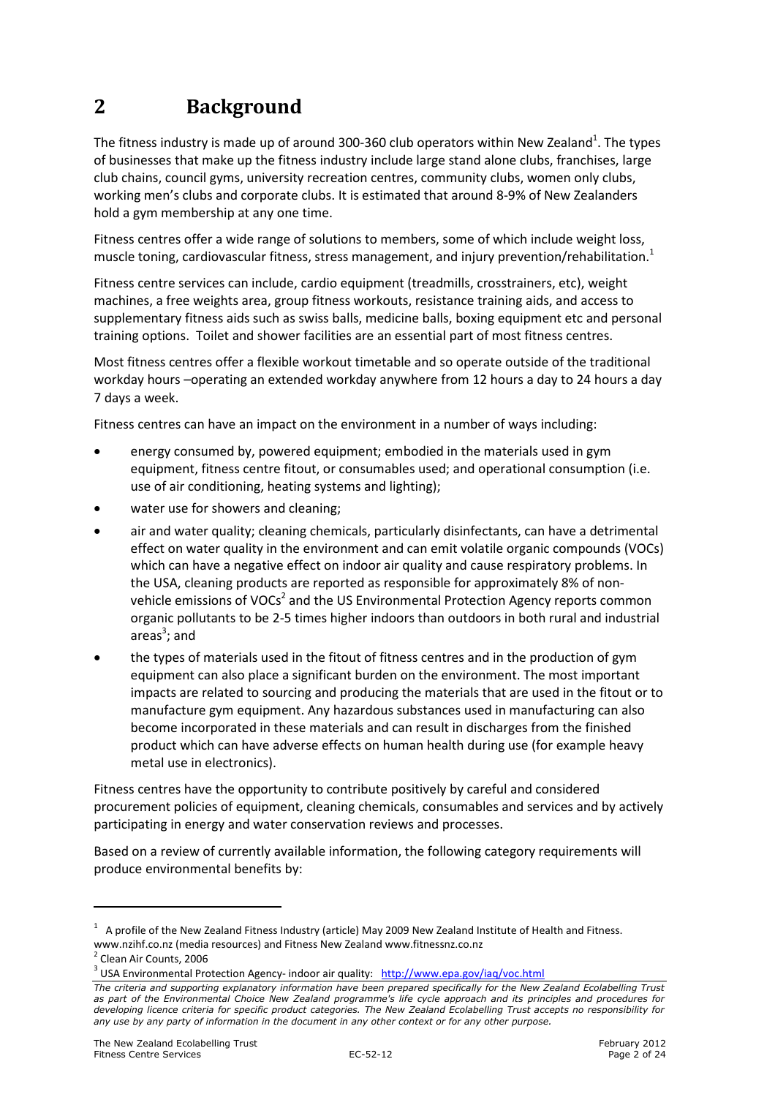## 2 Background

The fitness industry is made up of around 300-360 club operators within New Zealand<sup>1</sup>. The types of businesses that make up the fitness industry include large stand alone clubs, franchises, large club chains, council gyms, university recreation centres, community clubs, women only clubs, working men's clubs and corporate clubs. It is estimated that around 8-9% of New Zealanders hold a gym membership at any one time.

Fitness centres offer a wide range of solutions to members, some of which include weight loss, muscle toning, cardiovascular fitness, stress management, and injury prevention/rehabilitation.<sup>1</sup>

Fitness centre services can include, cardio equipment (treadmills, crosstrainers, etc), weight machines, a free weights area, group fitness workouts, resistance training aids, and access to supplementary fitness aids such as swiss balls, medicine balls, boxing equipment etc and personal training options. Toilet and shower facilities are an essential part of most fitness centres.

Most fitness centres offer a flexible workout timetable and so operate outside of the traditional workday hours –operating an extended workday anywhere from 12 hours a day to 24 hours a day 7 days a week.

Fitness centres can have an impact on the environment in a number of ways including:

- energy consumed by, powered equipment; embodied in the materials used in gym equipment, fitness centre fitout, or consumables used; and operational consumption (i.e. use of air conditioning, heating systems and lighting);
- water use for showers and cleaning:
- air and water quality; cleaning chemicals, particularly disinfectants, can have a detrimental effect on water quality in the environment and can emit volatile organic compounds (VOCs) which can have a negative effect on indoor air quality and cause respiratory problems. In the USA, cleaning products are reported as responsible for approximately 8% of nonvehicle emissions of VOCs<sup>2</sup> and the US Environmental Protection Agency reports common organic pollutants to be 2-5 times higher indoors than outdoors in both rural and industrial areas<sup>3</sup>; and
- the types of materials used in the fitout of fitness centres and in the production of gym equipment can also place a significant burden on the environment. The most important impacts are related to sourcing and producing the materials that are used in the fitout or to manufacture gym equipment. Any hazardous substances used in manufacturing can also become incorporated in these materials and can result in discharges from the finished product which can have adverse effects on human health during use (for example heavy metal use in electronics).

Fitness centres have the opportunity to contribute positively by careful and considered procurement policies of equipment, cleaning chemicals, consumables and services and by actively participating in energy and water conservation reviews and processes.

Based on a review of currently available information, the following category requirements will produce environmental benefits by:

l

 $1$  A profile of the New Zealand Fitness Industry (article) May 2009 New Zealand Institute of Health and Fitness. www.nzihf.co.nz (media resources) and Fitness New Zealand www.fitnessnz.co.nz <sup>2</sup> Clean Air Counts, 2006

<sup>&</sup>lt;sup>3</sup> USA Environmental Protection Agency- indoor air quality: http://www.epa.gov/iaq/voc.html

The criteria and supporting explanatory information have been prepared specifically for the New Zealand Ecolabelling Trust as part of the Environmental Choice New Zealand programme's life cycle approach and its principles and procedures for developing licence criteria for specific product categories. The New Zealand Ecolabelling Trust accepts no responsibility for any use by any party of information in the document in any other context or for any other purpose.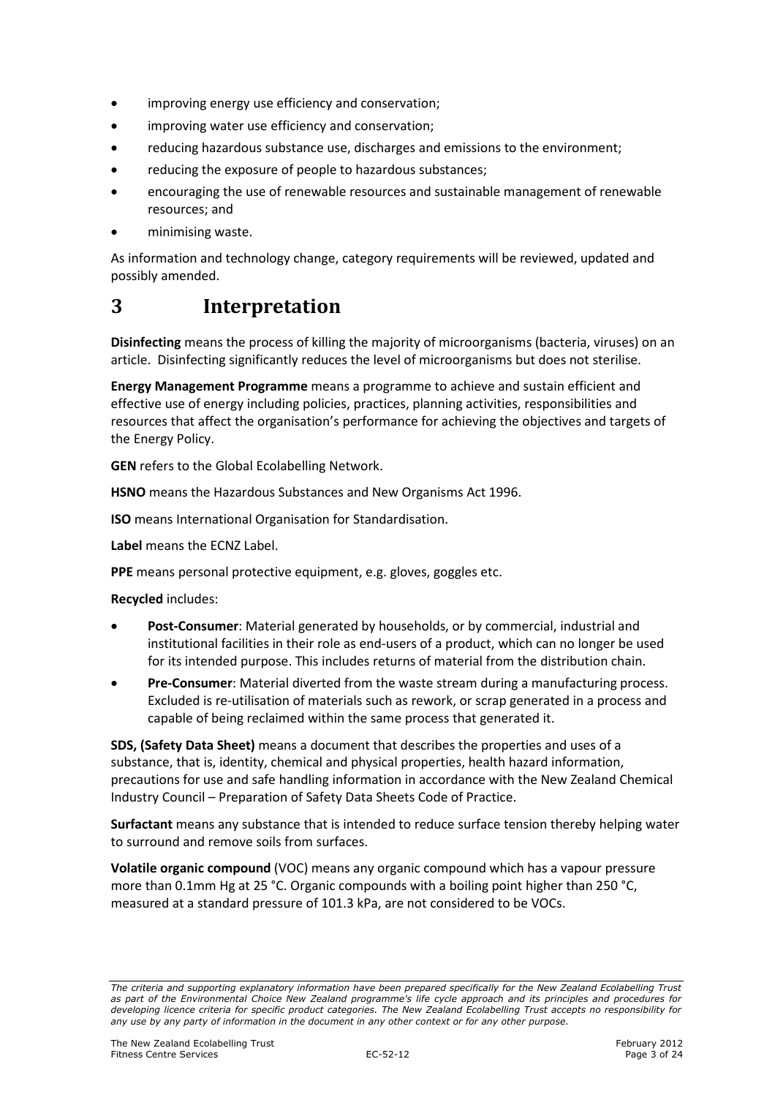- improving energy use efficiency and conservation;
- improving water use efficiency and conservation:
- reducing hazardous substance use, discharges and emissions to the environment;
- reducing the exposure of people to hazardous substances;
- encouraging the use of renewable resources and sustainable management of renewable resources; and
- minimising waste.

As information and technology change, category requirements will be reviewed, updated and possibly amended.

## 3 Interpretation

Disinfecting means the process of killing the majority of microorganisms (bacteria, viruses) on an article. Disinfecting significantly reduces the level of microorganisms but does not sterilise.

Energy Management Programme means a programme to achieve and sustain efficient and effective use of energy including policies, practices, planning activities, responsibilities and resources that affect the organisation's performance for achieving the objectives and targets of the Energy Policy.

GEN refers to the Global Ecolabelling Network.

HSNO means the Hazardous Substances and New Organisms Act 1996.

ISO means International Organisation for Standardisation.

Label means the ECNZ Label.

PPE means personal protective equipment, e.g. gloves, goggles etc.

Recycled includes:

- Post-Consumer: Material generated by households, or by commercial, industrial and institutional facilities in their role as end-users of a product, which can no longer be used for its intended purpose. This includes returns of material from the distribution chain.
- Pre-Consumer: Material diverted from the waste stream during a manufacturing process. Excluded is re-utilisation of materials such as rework, or scrap generated in a process and capable of being reclaimed within the same process that generated it.

SDS, (Safety Data Sheet) means a document that describes the properties and uses of a substance, that is, identity, chemical and physical properties, health hazard information, precautions for use and safe handling information in accordance with the New Zealand Chemical Industry Council – Preparation of Safety Data Sheets Code of Practice.

Surfactant means any substance that is intended to reduce surface tension thereby helping water to surround and remove soils from surfaces.

Volatile organic compound (VOC) means any organic compound which has a vapour pressure more than 0.1mm Hg at 25 °C. Organic compounds with a boiling point higher than 250 °C, measured at a standard pressure of 101.3 kPa, are not considered to be VOCs.

The criteria and supporting explanatory information have been prepared specifically for the New Zealand Ecolabelling Trust as part of the Environmental Choice New Zealand programme's life cycle approach and its principles and procedures for developing licence criteria for specific product categories. The New Zealand Ecolabelling Trust accepts no responsibility for any use by any party of information in the document in any other context or for any other purpose.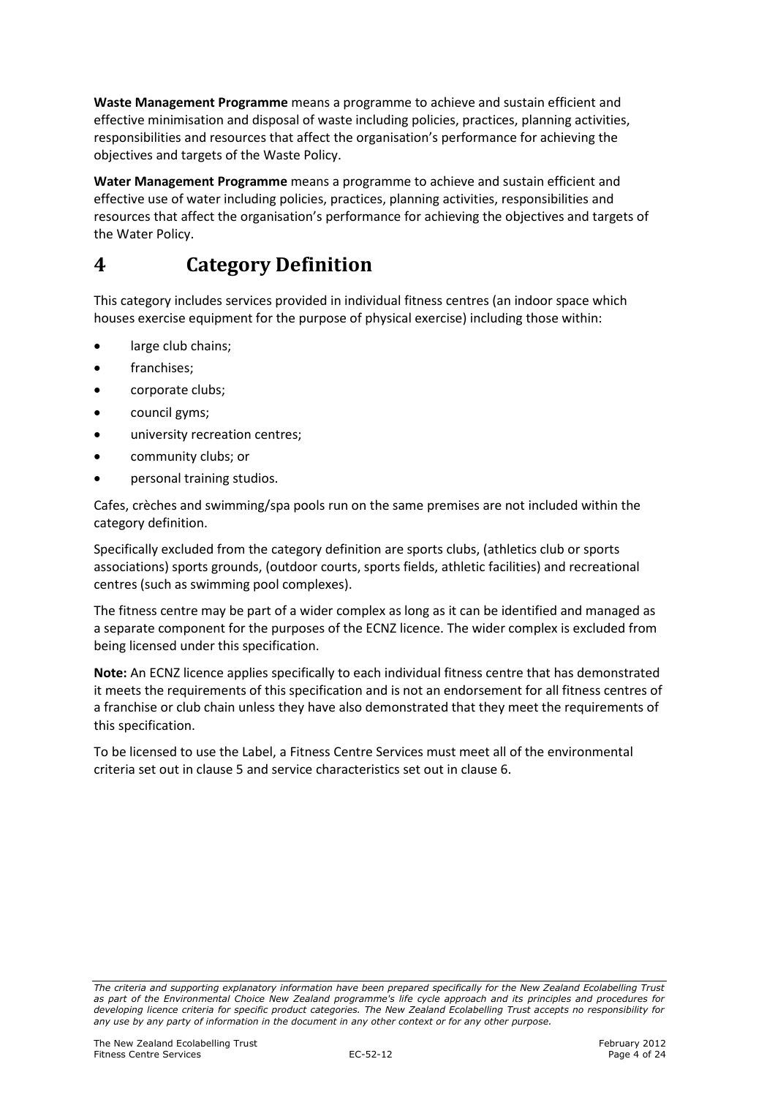Waste Management Programme means a programme to achieve and sustain efficient and effective minimisation and disposal of waste including policies, practices, planning activities, responsibilities and resources that affect the organisation's performance for achieving the objectives and targets of the Waste Policy.

Water Management Programme means a programme to achieve and sustain efficient and effective use of water including policies, practices, planning activities, responsibilities and resources that affect the organisation's performance for achieving the objectives and targets of the Water Policy.

## 4 Category Definition

This category includes services provided in individual fitness centres (an indoor space which houses exercise equipment for the purpose of physical exercise) including those within:

- large club chains;
- franchises:
- corporate clubs;
- council gyms;
- university recreation centres;
- community clubs; or
- personal training studios.

Cafes, crèches and swimming/spa pools run on the same premises are not included within the category definition.

Specifically excluded from the category definition are sports clubs, (athletics club or sports associations) sports grounds, (outdoor courts, sports fields, athletic facilities) and recreational centres (such as swimming pool complexes).

The fitness centre may be part of a wider complex as long as it can be identified and managed as a separate component for the purposes of the ECNZ licence. The wider complex is excluded from being licensed under this specification.

Note: An ECNZ licence applies specifically to each individual fitness centre that has demonstrated it meets the requirements of this specification and is not an endorsement for all fitness centres of a franchise or club chain unless they have also demonstrated that they meet the requirements of this specification.

To be licensed to use the Label, a Fitness Centre Services must meet all of the environmental criteria set out in clause 5 and service characteristics set out in clause 6.

The criteria and supporting explanatory information have been prepared specifically for the New Zealand Ecolabelling Trust as part of the Environmental Choice New Zealand programme's life cycle approach and its principles and procedures for developing licence criteria for specific product categories. The New Zealand Ecolabelling Trust accepts no responsibility for any use by any party of information in the document in any other context or for any other purpose.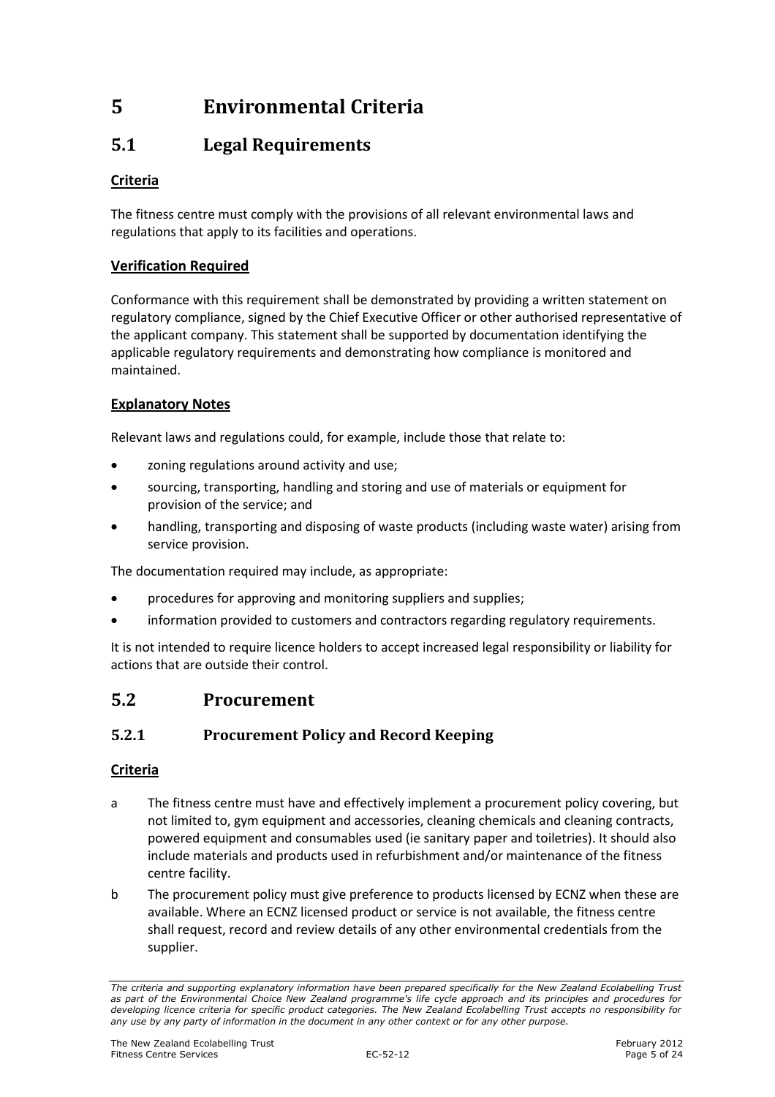## 5 Environmental Criteria

## 5.1 Legal Requirements

## Criteria

The fitness centre must comply with the provisions of all relevant environmental laws and regulations that apply to its facilities and operations.

### Verification Required

Conformance with this requirement shall be demonstrated by providing a written statement on regulatory compliance, signed by the Chief Executive Officer or other authorised representative of the applicant company. This statement shall be supported by documentation identifying the applicable regulatory requirements and demonstrating how compliance is monitored and maintained.

### Explanatory Notes

Relevant laws and regulations could, for example, include those that relate to:

- zoning regulations around activity and use;
- sourcing, transporting, handling and storing and use of materials or equipment for provision of the service; and
- handling, transporting and disposing of waste products (including waste water) arising from service provision.

The documentation required may include, as appropriate:

- procedures for approving and monitoring suppliers and supplies;
- information provided to customers and contractors regarding regulatory requirements.

It is not intended to require licence holders to accept increased legal responsibility or liability for actions that are outside their control.

## 5.2 Procurement

## 5.2.1 Procurement Policy and Record Keeping

### Criteria

- a The fitness centre must have and effectively implement a procurement policy covering, but not limited to, gym equipment and accessories, cleaning chemicals and cleaning contracts, powered equipment and consumables used (ie sanitary paper and toiletries). It should also include materials and products used in refurbishment and/or maintenance of the fitness centre facility.
- b The procurement policy must give preference to products licensed by ECNZ when these are available. Where an ECNZ licensed product or service is not available, the fitness centre shall request, record and review details of any other environmental credentials from the supplier.

The criteria and supporting explanatory information have been prepared specifically for the New Zealand Ecolabelling Trust as part of the Environmental Choice New Zealand programme's life cycle approach and its principles and procedures for developing licence criteria for specific product categories. The New Zealand Ecolabelling Trust accepts no responsibility for any use by any party of information in the document in any other context or for any other purpose.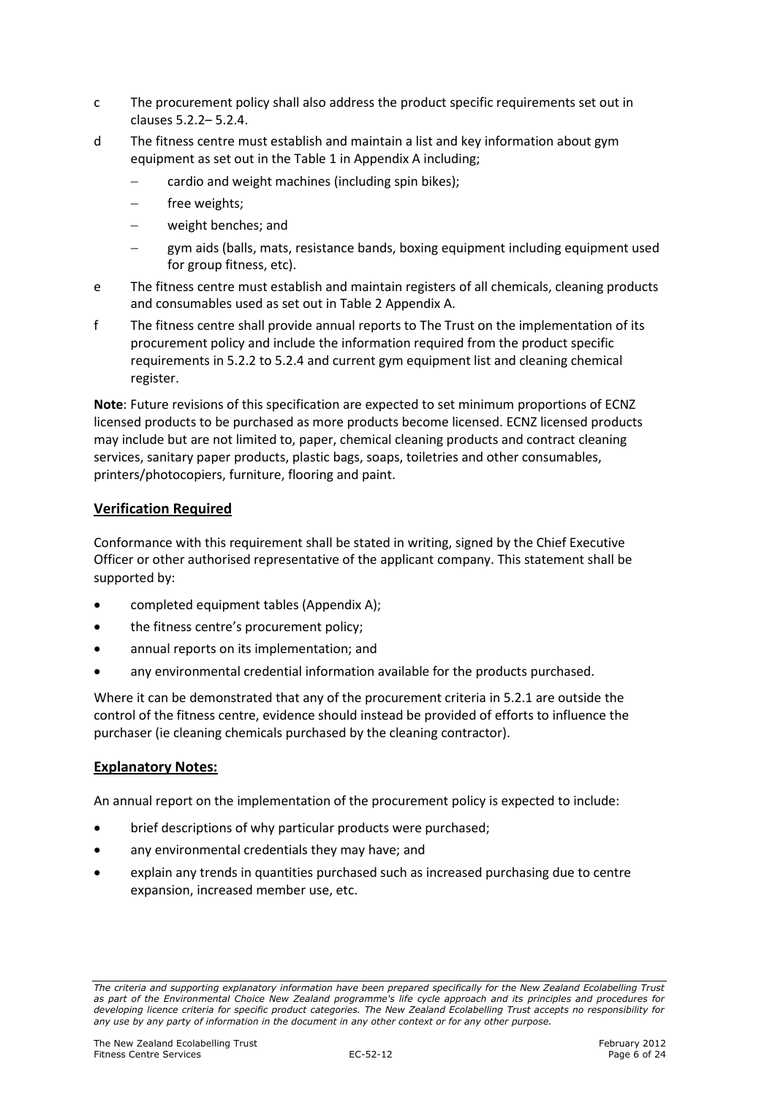- c The procurement policy shall also address the product specific requirements set out in clauses 5.2.2– 5.2.4.
- d The fitness centre must establish and maintain a list and key information about gym equipment as set out in the Table 1 in Appendix A including;
	- − cardio and weight machines (including spin bikes);
	- free weights;
	- − weight benches; and
	- gym aids (balls, mats, resistance bands, boxing equipment including equipment used for group fitness, etc).
- e The fitness centre must establish and maintain registers of all chemicals, cleaning products and consumables used as set out in Table 2 Appendix A.
- f The fitness centre shall provide annual reports to The Trust on the implementation of its procurement policy and include the information required from the product specific requirements in 5.2.2 to 5.2.4 and current gym equipment list and cleaning chemical register.

Note: Future revisions of this specification are expected to set minimum proportions of ECNZ licensed products to be purchased as more products become licensed. ECNZ licensed products may include but are not limited to, paper, chemical cleaning products and contract cleaning services, sanitary paper products, plastic bags, soaps, toiletries and other consumables, printers/photocopiers, furniture, flooring and paint.

#### Verification Required

Conformance with this requirement shall be stated in writing, signed by the Chief Executive Officer or other authorised representative of the applicant company. This statement shall be supported by:

- completed equipment tables (Appendix A);
- the fitness centre's procurement policy;
- annual reports on its implementation; and
- any environmental credential information available for the products purchased.

Where it can be demonstrated that any of the procurement criteria in 5.2.1 are outside the control of the fitness centre, evidence should instead be provided of efforts to influence the purchaser (ie cleaning chemicals purchased by the cleaning contractor).

#### Explanatory Notes:

An annual report on the implementation of the procurement policy is expected to include:

- brief descriptions of why particular products were purchased;
- any environmental credentials they may have; and
- explain any trends in quantities purchased such as increased purchasing due to centre expansion, increased member use, etc.

The criteria and supporting explanatory information have been prepared specifically for the New Zealand Ecolabelling Trust as part of the Environmental Choice New Zealand programme's life cycle approach and its principles and procedures for developing licence criteria for specific product categories. The New Zealand Ecolabelling Trust accepts no responsibility for any use by any party of information in the document in any other context or for any other purpose.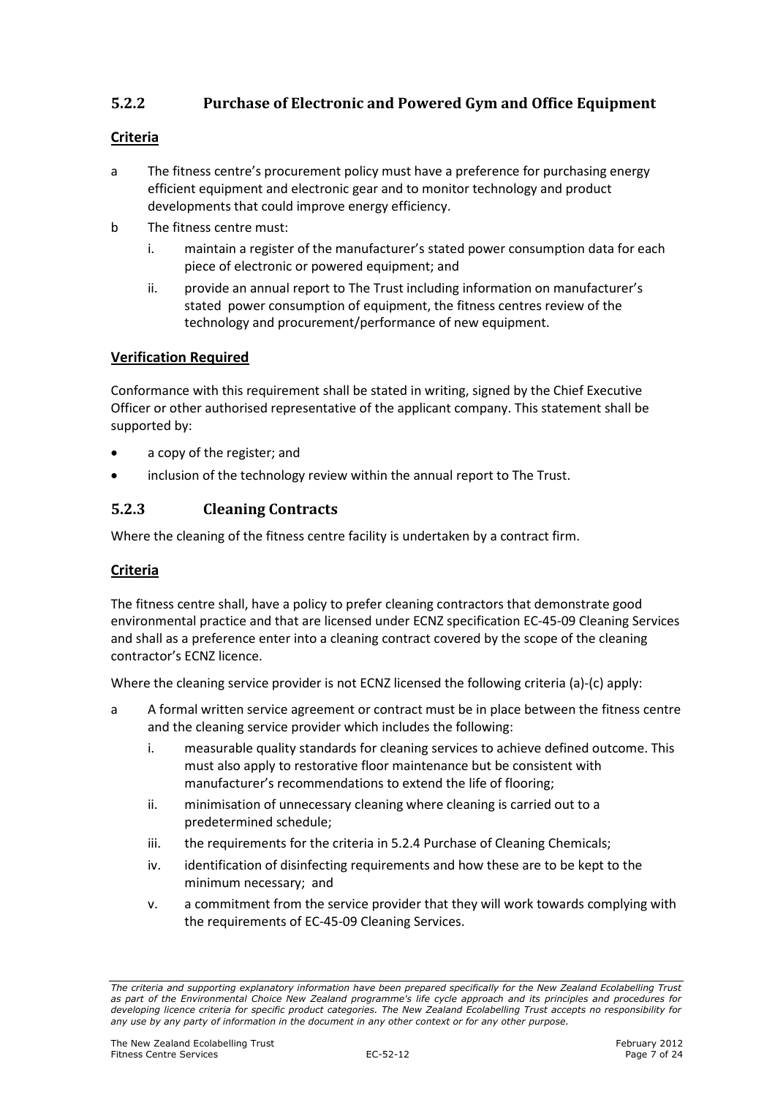## 5.2.2 Purchase of Electronic and Powered Gym and Office Equipment

#### Criteria

- a The fitness centre's procurement policy must have a preference for purchasing energy efficient equipment and electronic gear and to monitor technology and product developments that could improve energy efficiency.
- b The fitness centre must:
	- i. maintain a register of the manufacturer's stated power consumption data for each piece of electronic or powered equipment; and
	- ii. provide an annual report to The Trust including information on manufacturer's stated power consumption of equipment, the fitness centres review of the technology and procurement/performance of new equipment.

#### Verification Required

Conformance with this requirement shall be stated in writing, signed by the Chief Executive Officer or other authorised representative of the applicant company. This statement shall be supported by:

- a copy of the register; and
- inclusion of the technology review within the annual report to The Trust.

#### 5.2.3 Cleaning Contracts

Where the cleaning of the fitness centre facility is undertaken by a contract firm.

#### Criteria

The fitness centre shall, have a policy to prefer cleaning contractors that demonstrate good environmental practice and that are licensed under ECNZ specification EC-45-09 Cleaning Services and shall as a preference enter into a cleaning contract covered by the scope of the cleaning contractor's ECNZ licence.

Where the cleaning service provider is not ECNZ licensed the following criteria (a)-(c) apply:

- a A formal written service agreement or contract must be in place between the fitness centre and the cleaning service provider which includes the following:
	- i. measurable quality standards for cleaning services to achieve defined outcome. This must also apply to restorative floor maintenance but be consistent with manufacturer's recommendations to extend the life of flooring;
	- ii. minimisation of unnecessary cleaning where cleaning is carried out to a predetermined schedule;
	- iii. the requirements for the criteria in 5.2.4 Purchase of Cleaning Chemicals;
	- iv. identification of disinfecting requirements and how these are to be kept to the minimum necessary; and
	- v. a commitment from the service provider that they will work towards complying with the requirements of EC-45-09 Cleaning Services.

The criteria and supporting explanatory information have been prepared specifically for the New Zealand Ecolabelling Trust as part of the Environmental Choice New Zealand programme's life cycle approach and its principles and procedures for developing licence criteria for specific product categories. The New Zealand Ecolabelling Trust accepts no responsibility for any use by any party of information in the document in any other context or for any other purpose.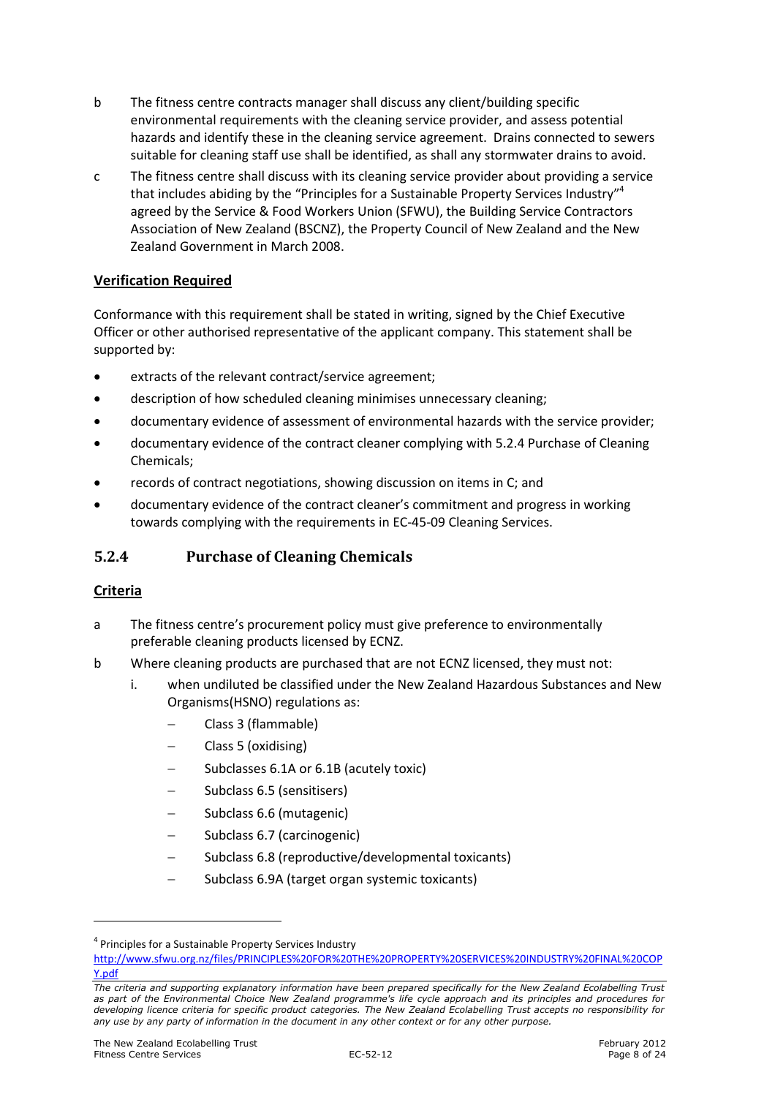- b The fitness centre contracts manager shall discuss any client/building specific environmental requirements with the cleaning service provider, and assess potential hazards and identify these in the cleaning service agreement. Drains connected to sewers suitable for cleaning staff use shall be identified, as shall any stormwater drains to avoid.
- c The fitness centre shall discuss with its cleaning service provider about providing a service that includes abiding by the "Principles for a Sustainable Property Services Industry"<sup>4</sup> agreed by the Service & Food Workers Union (SFWU), the Building Service Contractors Association of New Zealand (BSCNZ), the Property Council of New Zealand and the New Zealand Government in March 2008.

### Verification Required

Conformance with this requirement shall be stated in writing, signed by the Chief Executive Officer or other authorised representative of the applicant company. This statement shall be supported by:

- extracts of the relevant contract/service agreement;
- description of how scheduled cleaning minimises unnecessary cleaning;
- documentary evidence of assessment of environmental hazards with the service provider;
- documentary evidence of the contract cleaner complying with 5.2.4 Purchase of Cleaning Chemicals;
- records of contract negotiations, showing discussion on items in C; and
- documentary evidence of the contract cleaner's commitment and progress in working towards complying with the requirements in EC-45-09 Cleaning Services.

### 5.2.4 Purchase of Cleaning Chemicals

#### Criteria

 $\overline{a}$ 

- a The fitness centre's procurement policy must give preference to environmentally preferable cleaning products licensed by ECNZ.
- b Where cleaning products are purchased that are not ECNZ licensed, they must not:
	- i. when undiluted be classified under the New Zealand Hazardous Substances and New Organisms(HSNO) regulations as:
		- − Class 3 (flammable)
		- − Class 5 (oxidising)
		- − Subclasses 6.1A or 6.1B (acutely toxic)
		- − Subclass 6.5 (sensitisers)
		- − Subclass 6.6 (mutagenic)
		- − Subclass 6.7 (carcinogenic)
		- − Subclass 6.8 (reproductive/developmental toxicants)
		- − Subclass 6.9A (target organ systemic toxicants)

<sup>&</sup>lt;sup>4</sup> Principles for a Sustainable Property Services Industry

http://www.sfwu.org.nz/files/PRINCIPLES%20FOR%20THE%20PROPERTY%20SERVICES%20INDUSTRY%20FINAL%20COP Y.pdf

The criteria and supporting explanatory information have been prepared specifically for the New Zealand Ecolabelling Trust as part of the Environmental Choice New Zealand programme's life cycle approach and its principles and procedures for developing licence criteria for specific product categories. The New Zealand Ecolabelling Trust accepts no responsibility for any use by any party of information in the document in any other context or for any other purpose.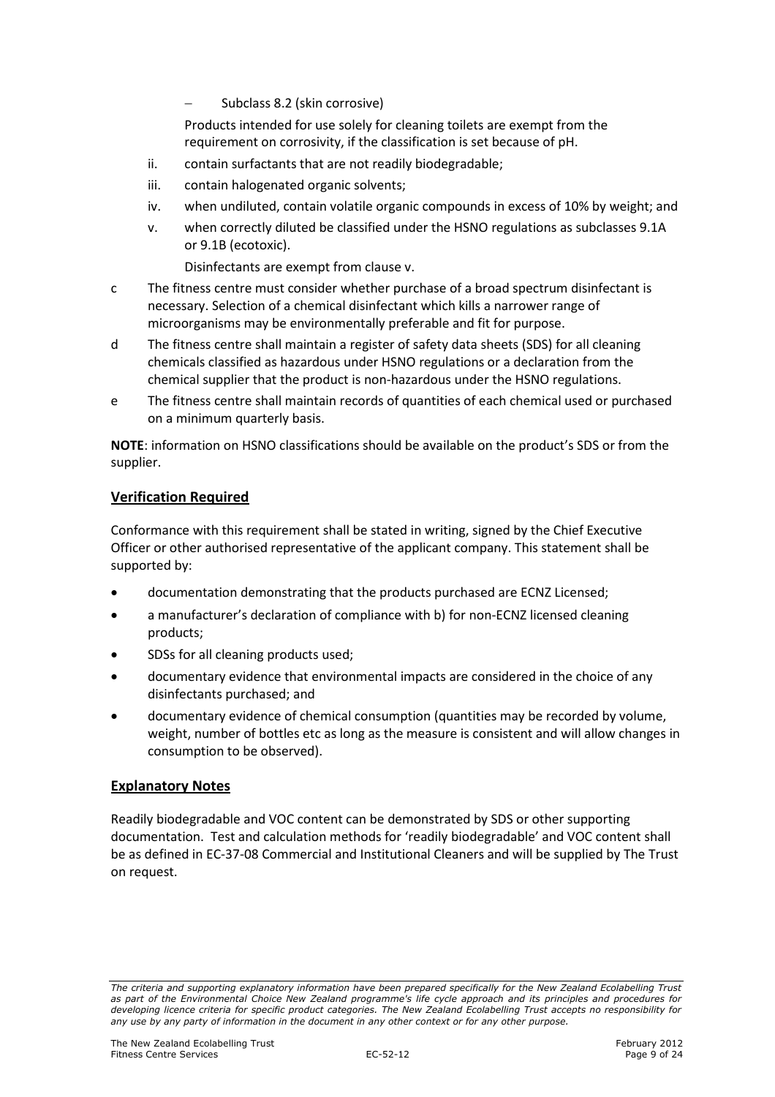− Subclass 8.2 (skin corrosive)

Products intended for use solely for cleaning toilets are exempt from the requirement on corrosivity, if the classification is set because of pH.

- ii. contain surfactants that are not readily biodegradable;
- iii. contain halogenated organic solvents;
- iv. when undiluted, contain volatile organic compounds in excess of 10% by weight; and
- v. when correctly diluted be classified under the HSNO regulations as subclasses 9.1A or 9.1B (ecotoxic).

Disinfectants are exempt from clause v.

- c The fitness centre must consider whether purchase of a broad spectrum disinfectant is necessary. Selection of a chemical disinfectant which kills a narrower range of microorganisms may be environmentally preferable and fit for purpose.
- d The fitness centre shall maintain a register of safety data sheets (SDS) for all cleaning chemicals classified as hazardous under HSNO regulations or a declaration from the chemical supplier that the product is non-hazardous under the HSNO regulations.
- e The fitness centre shall maintain records of quantities of each chemical used or purchased on a minimum quarterly basis.

NOTE: information on HSNO classifications should be available on the product's SDS or from the supplier.

#### Verification Required

Conformance with this requirement shall be stated in writing, signed by the Chief Executive Officer or other authorised representative of the applicant company. This statement shall be supported by:

- documentation demonstrating that the products purchased are ECNZ Licensed;
- a manufacturer's declaration of compliance with b) for non-ECNZ licensed cleaning products;
- SDSs for all cleaning products used;
- documentary evidence that environmental impacts are considered in the choice of any disinfectants purchased; and
- documentary evidence of chemical consumption (quantities may be recorded by volume, weight, number of bottles etc as long as the measure is consistent and will allow changes in consumption to be observed).

#### Explanatory Notes

Readily biodegradable and VOC content can be demonstrated by SDS or other supporting documentation. Test and calculation methods for 'readily biodegradable' and VOC content shall be as defined in EC-37-08 Commercial and Institutional Cleaners and will be supplied by The Trust on request.

The criteria and supporting explanatory information have been prepared specifically for the New Zealand Ecolabelling Trust as part of the Environmental Choice New Zealand programme's life cycle approach and its principles and procedures for developing licence criteria for specific product categories. The New Zealand Ecolabelling Trust accepts no responsibility for any use by any party of information in the document in any other context or for any other purpose.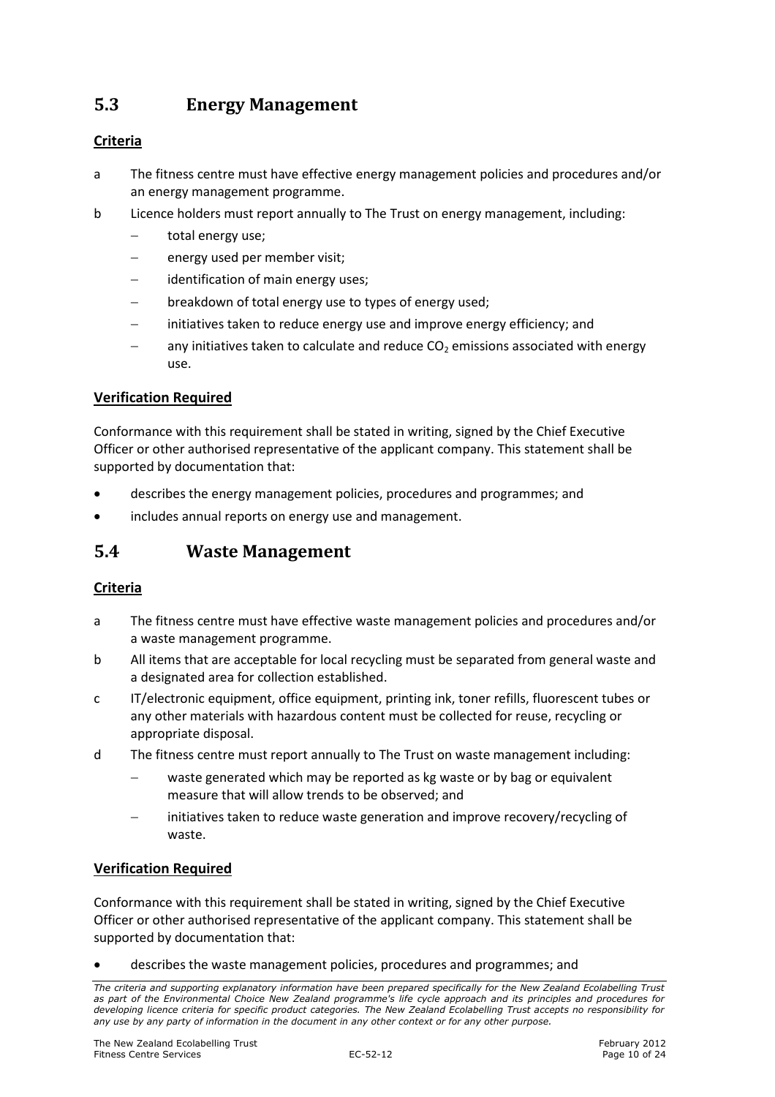## 5.3 Energy Management

### Criteria

- a The fitness centre must have effective energy management policies and procedures and/or an energy management programme.
- b Licence holders must report annually to The Trust on energy management, including:
	- − total energy use;
	- energy used per member visit;
	- identification of main energy uses;
	- breakdown of total energy use to types of energy used;
	- initiatives taken to reduce energy use and improve energy efficiency; and
	- any initiatives taken to calculate and reduce  $CO<sub>2</sub>$  emissions associated with energy use.

#### Verification Required

Conformance with this requirement shall be stated in writing, signed by the Chief Executive Officer or other authorised representative of the applicant company. This statement shall be supported by documentation that:

- describes the energy management policies, procedures and programmes; and
- includes annual reports on energy use and management.

## 5.4 Waste Management

#### Criteria

- a The fitness centre must have effective waste management policies and procedures and/or a waste management programme.
- b All items that are acceptable for local recycling must be separated from general waste and a designated area for collection established.
- c IT/electronic equipment, office equipment, printing ink, toner refills, fluorescent tubes or any other materials with hazardous content must be collected for reuse, recycling or appropriate disposal.
- d The fitness centre must report annually to The Trust on waste management including:
	- waste generated which may be reported as kg waste or by bag or equivalent measure that will allow trends to be observed; and
	- initiatives taken to reduce waste generation and improve recovery/recycling of waste.

#### Verification Required

Conformance with this requirement shall be stated in writing, signed by the Chief Executive Officer or other authorised representative of the applicant company. This statement shall be supported by documentation that:

• describes the waste management policies, procedures and programmes; and

The criteria and supporting explanatory information have been prepared specifically for the New Zealand Ecolabelling Trust as part of the Environmental Choice New Zealand programme's life cycle approach and its principles and procedures for developing licence criteria for specific product categories. The New Zealand Ecolabelling Trust accepts no responsibility for any use by any party of information in the document in any other context or for any other purpose.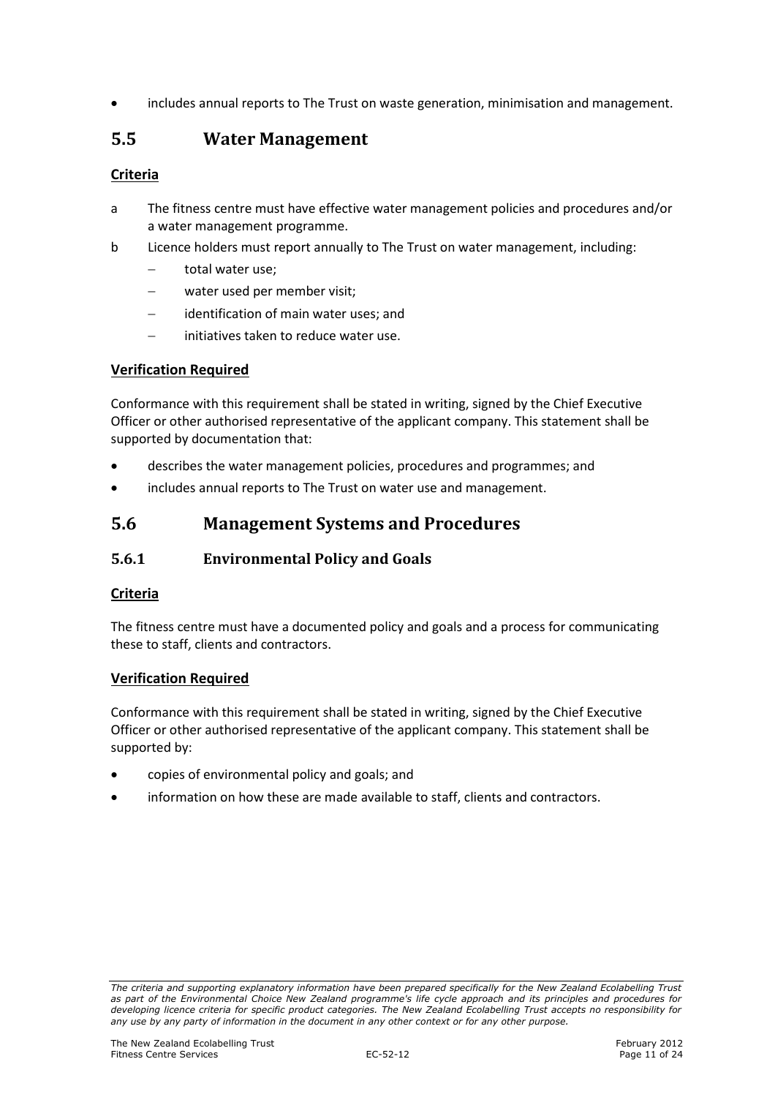• includes annual reports to The Trust on waste generation, minimisation and management.

## 5.5 Water Management

### Criteria

- a The fitness centre must have effective water management policies and procedures and/or a water management programme.
- b Licence holders must report annually to The Trust on water management, including:
	- − total water use;
	- water used per member visit;
	- − identification of main water uses; and
	- − initiatives taken to reduce water use.

#### Verification Required

Conformance with this requirement shall be stated in writing, signed by the Chief Executive Officer or other authorised representative of the applicant company. This statement shall be supported by documentation that:

- describes the water management policies, procedures and programmes; and
- includes annual reports to The Trust on water use and management.

## 5.6 Management Systems and Procedures

### 5.6.1 Environmental Policy and Goals

#### Criteria

The fitness centre must have a documented policy and goals and a process for communicating these to staff, clients and contractors.

#### Verification Required

Conformance with this requirement shall be stated in writing, signed by the Chief Executive Officer or other authorised representative of the applicant company. This statement shall be supported by:

- copies of environmental policy and goals; and
- information on how these are made available to staff, clients and contractors.

The criteria and supporting explanatory information have been prepared specifically for the New Zealand Ecolabelling Trust as part of the Environmental Choice New Zealand programme's life cycle approach and its principles and procedures for developing licence criteria for specific product categories. The New Zealand Ecolabelling Trust accepts no responsibility for any use by any party of information in the document in any other context or for any other purpose.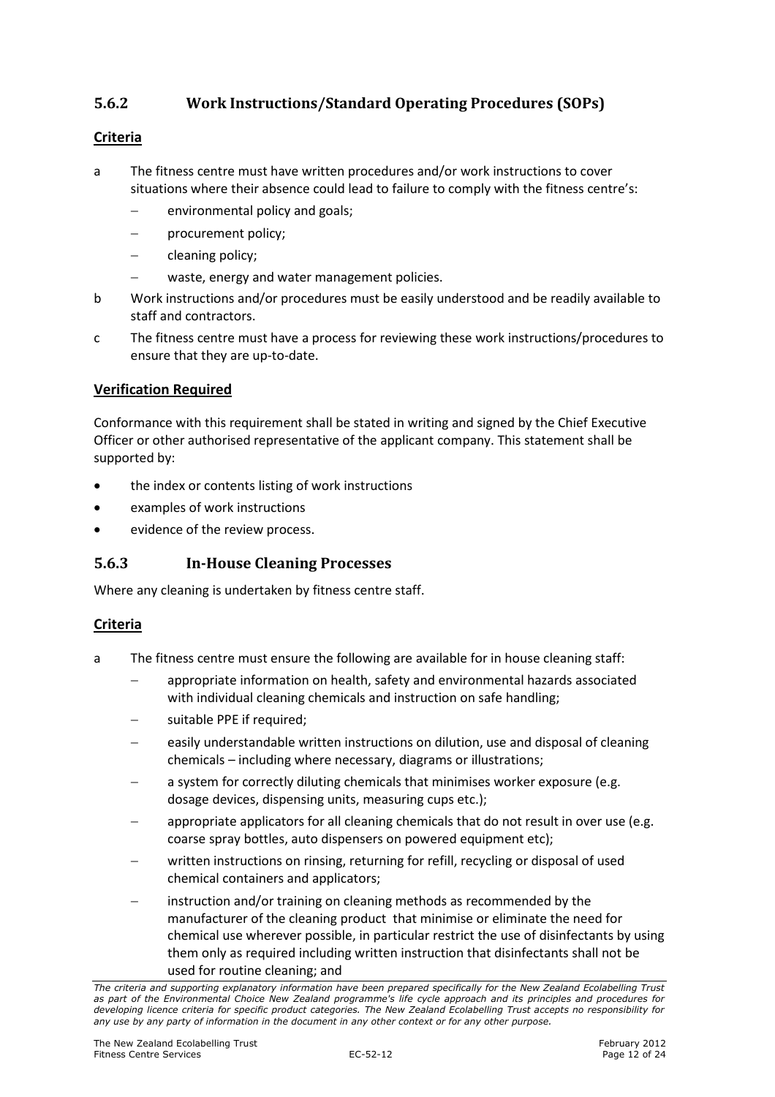## 5.6.2 Work Instructions/Standard Operating Procedures (SOPs)

#### **Criteria**

- a The fitness centre must have written procedures and/or work instructions to cover situations where their absence could lead to failure to comply with the fitness centre's:
	- environmental policy and goals;
	- procurement policy;
	- − cleaning policy;
	- waste, energy and water management policies.
- b Work instructions and/or procedures must be easily understood and be readily available to staff and contractors.
- c The fitness centre must have a process for reviewing these work instructions/procedures to ensure that they are up-to-date.

#### Verification Required

Conformance with this requirement shall be stated in writing and signed by the Chief Executive Officer or other authorised representative of the applicant company. This statement shall be supported by:

- the index or contents listing of work instructions
- examples of work instructions
- evidence of the review process.

### 5.6.3 In-House Cleaning Processes

Where any cleaning is undertaken by fitness centre staff.

### Criteria

- a The fitness centre must ensure the following are available for in house cleaning staff:
	- − appropriate information on health, safety and environmental hazards associated with individual cleaning chemicals and instruction on safe handling;
	- suitable PPE if required;
	- easily understandable written instructions on dilution, use and disposal of cleaning chemicals – including where necessary, diagrams or illustrations;
	- a system for correctly diluting chemicals that minimises worker exposure (e.g. dosage devices, dispensing units, measuring cups etc.);
	- appropriate applicators for all cleaning chemicals that do not result in over use (e.g. coarse spray bottles, auto dispensers on powered equipment etc);
	- written instructions on rinsing, returning for refill, recycling or disposal of used chemical containers and applicators;
	- instruction and/or training on cleaning methods as recommended by the manufacturer of the cleaning product that minimise or eliminate the need for chemical use wherever possible, in particular restrict the use of disinfectants by using them only as required including written instruction that disinfectants shall not be used for routine cleaning; and

The criteria and supporting explanatory information have been prepared specifically for the New Zealand Ecolabelling Trust as part of the Environmental Choice New Zealand programme's life cycle approach and its principles and procedures for developing licence criteria for specific product categories. The New Zealand Ecolabelling Trust accepts no responsibility for any use by any party of information in the document in any other context or for any other purpose.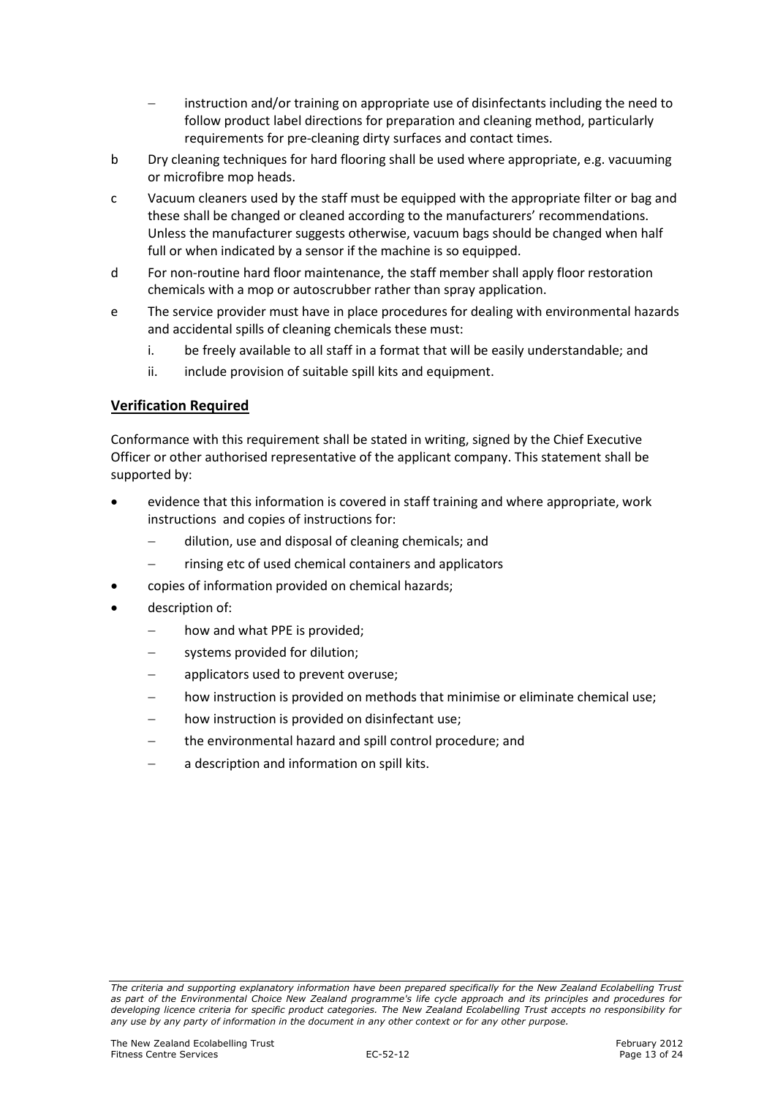- instruction and/or training on appropriate use of disinfectants including the need to follow product label directions for preparation and cleaning method, particularly requirements for pre-cleaning dirty surfaces and contact times.
- b Dry cleaning techniques for hard flooring shall be used where appropriate, e.g. vacuuming or microfibre mop heads.
- c Vacuum cleaners used by the staff must be equipped with the appropriate filter or bag and these shall be changed or cleaned according to the manufacturers' recommendations. Unless the manufacturer suggests otherwise, vacuum bags should be changed when half full or when indicated by a sensor if the machine is so equipped.
- d For non-routine hard floor maintenance, the staff member shall apply floor restoration chemicals with a mop or autoscrubber rather than spray application.
- e The service provider must have in place procedures for dealing with environmental hazards and accidental spills of cleaning chemicals these must:
	- i. be freely available to all staff in a format that will be easily understandable; and
	- ii. include provision of suitable spill kits and equipment.

#### Verification Required

Conformance with this requirement shall be stated in writing, signed by the Chief Executive Officer or other authorised representative of the applicant company. This statement shall be supported by:

- evidence that this information is covered in staff training and where appropriate, work instructions and copies of instructions for:
	- − dilution, use and disposal of cleaning chemicals; and
	- − rinsing etc of used chemical containers and applicators
- copies of information provided on chemical hazards;
- description of:
	- how and what PPE is provided;
	- systems provided for dilution;
	- applicators used to prevent overuse;
	- how instruction is provided on methods that minimise or eliminate chemical use;
	- how instruction is provided on disinfectant use;
	- − the environmental hazard and spill control procedure; and
	- a description and information on spill kits.

The criteria and supporting explanatory information have been prepared specifically for the New Zealand Ecolabelling Trust as part of the Environmental Choice New Zealand programme's life cycle approach and its principles and procedures for developing licence criteria for specific product categories. The New Zealand Ecolabelling Trust accepts no responsibility for any use by any party of information in the document in any other context or for any other purpose.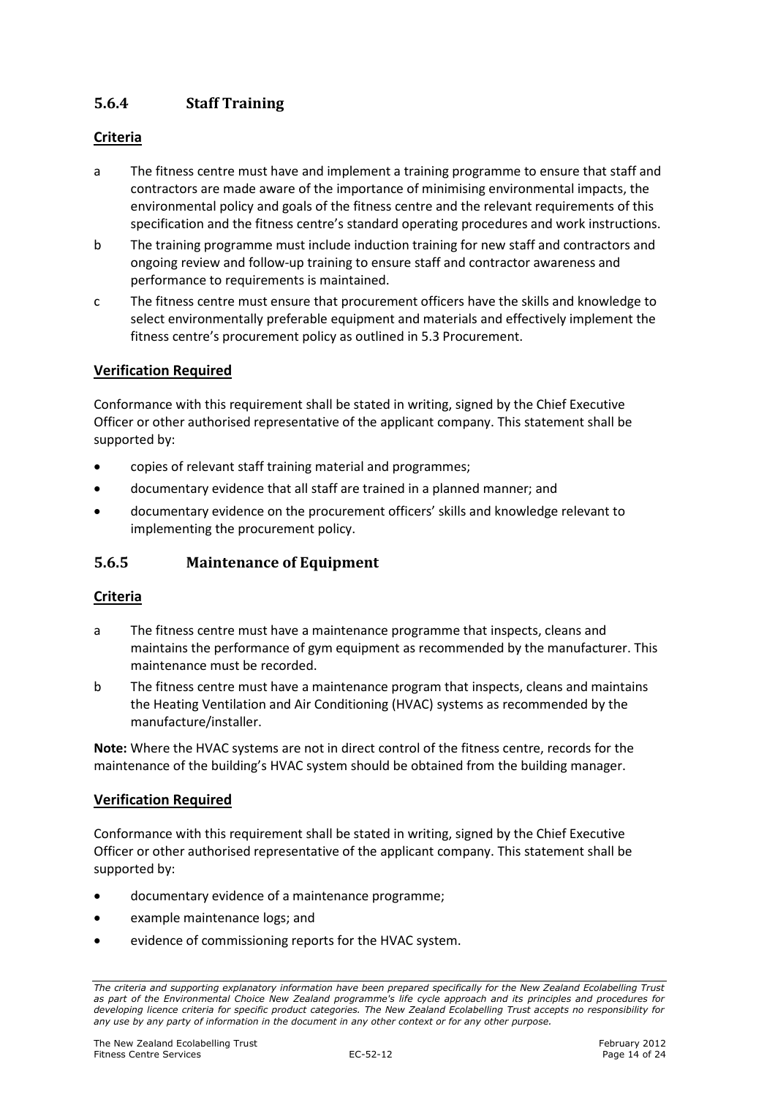## 5.6.4 Staff Training

#### Criteria

- a The fitness centre must have and implement a training programme to ensure that staff and contractors are made aware of the importance of minimising environmental impacts, the environmental policy and goals of the fitness centre and the relevant requirements of this specification and the fitness centre's standard operating procedures and work instructions.
- b The training programme must include induction training for new staff and contractors and ongoing review and follow-up training to ensure staff and contractor awareness and performance to requirements is maintained.
- c The fitness centre must ensure that procurement officers have the skills and knowledge to select environmentally preferable equipment and materials and effectively implement the fitness centre's procurement policy as outlined in 5.3 Procurement.

#### Verification Required

Conformance with this requirement shall be stated in writing, signed by the Chief Executive Officer or other authorised representative of the applicant company. This statement shall be supported by:

- copies of relevant staff training material and programmes;
- documentary evidence that all staff are trained in a planned manner; and
- documentary evidence on the procurement officers' skills and knowledge relevant to implementing the procurement policy.

#### 5.6.5 Maintenance of Equipment

#### Criteria

- a The fitness centre must have a maintenance programme that inspects, cleans and maintains the performance of gym equipment as recommended by the manufacturer. This maintenance must be recorded.
- b The fitness centre must have a maintenance program that inspects, cleans and maintains the Heating Ventilation and Air Conditioning (HVAC) systems as recommended by the manufacture/installer.

Note: Where the HVAC systems are not in direct control of the fitness centre, records for the maintenance of the building's HVAC system should be obtained from the building manager.

#### Verification Required

Conformance with this requirement shall be stated in writing, signed by the Chief Executive Officer or other authorised representative of the applicant company. This statement shall be supported by:

- documentary evidence of a maintenance programme;
- example maintenance logs; and
- evidence of commissioning reports for the HVAC system.

The criteria and supporting explanatory information have been prepared specifically for the New Zealand Ecolabelling Trust as part of the Environmental Choice New Zealand programme's life cycle approach and its principles and procedures for developing licence criteria for specific product categories. The New Zealand Ecolabelling Trust accepts no responsibility for any use by any party of information in the document in any other context or for any other purpose.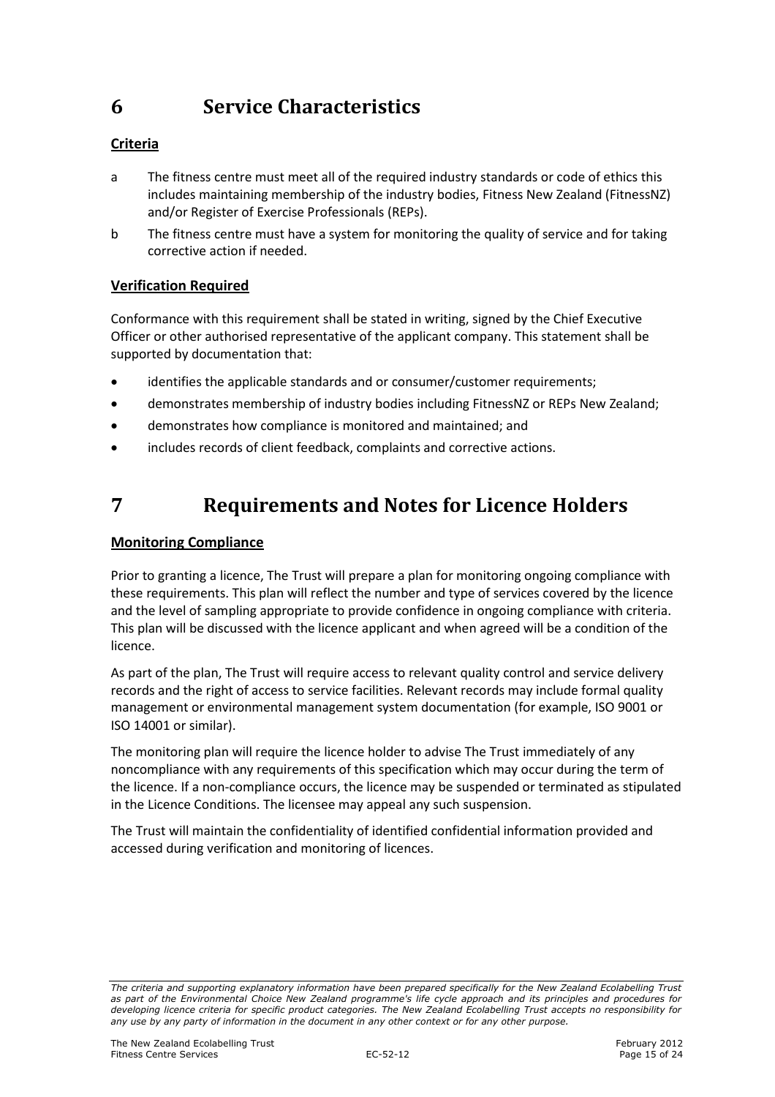## 6 Service Characteristics

## Criteria

- a The fitness centre must meet all of the required industry standards or code of ethics this includes maintaining membership of the industry bodies, Fitness New Zealand (FitnessNZ) and/or Register of Exercise Professionals (REPs).
- b The fitness centre must have a system for monitoring the quality of service and for taking corrective action if needed.

### Verification Required

Conformance with this requirement shall be stated in writing, signed by the Chief Executive Officer or other authorised representative of the applicant company. This statement shall be supported by documentation that:

- identifies the applicable standards and or consumer/customer requirements:
- demonstrates membership of industry bodies including FitnessNZ or REPs New Zealand;
- demonstrates how compliance is monitored and maintained; and
- includes records of client feedback, complaints and corrective actions.

## 7 Requirements and Notes for Licence Holders

#### Monitoring Compliance

Prior to granting a licence, The Trust will prepare a plan for monitoring ongoing compliance with these requirements. This plan will reflect the number and type of services covered by the licence and the level of sampling appropriate to provide confidence in ongoing compliance with criteria. This plan will be discussed with the licence applicant and when agreed will be a condition of the licence.

As part of the plan, The Trust will require access to relevant quality control and service delivery records and the right of access to service facilities. Relevant records may include formal quality management or environmental management system documentation (for example, ISO 9001 or ISO 14001 or similar).

The monitoring plan will require the licence holder to advise The Trust immediately of any noncompliance with any requirements of this specification which may occur during the term of the licence. If a non-compliance occurs, the licence may be suspended or terminated as stipulated in the Licence Conditions. The licensee may appeal any such suspension.

The Trust will maintain the confidentiality of identified confidential information provided and accessed during verification and monitoring of licences.

The criteria and supporting explanatory information have been prepared specifically for the New Zealand Ecolabelling Trust as part of the Environmental Choice New Zealand programme's life cycle approach and its principles and procedures for developing licence criteria for specific product categories. The New Zealand Ecolabelling Trust accepts no responsibility for any use by any party of information in the document in any other context or for any other purpose.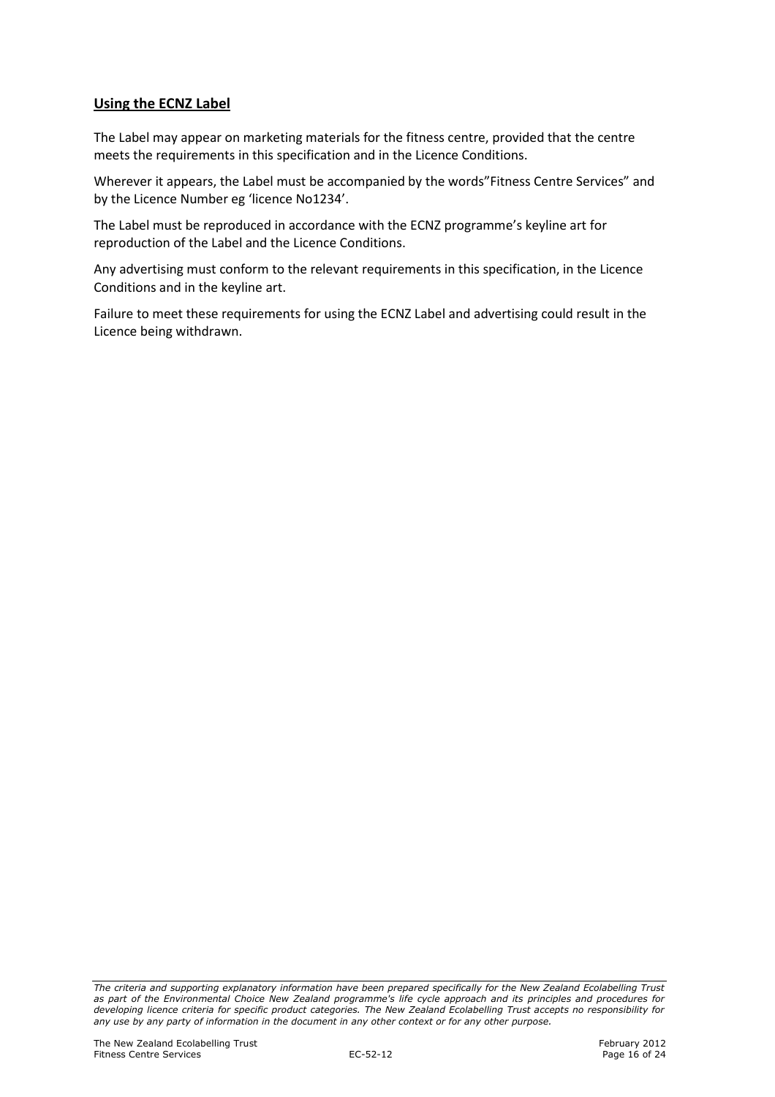#### Using the ECNZ Label

The Label may appear on marketing materials for the fitness centre, provided that the centre meets the requirements in this specification and in the Licence Conditions.

Wherever it appears, the Label must be accompanied by the words"Fitness Centre Services" and by the Licence Number eg 'licence No1234'.

The Label must be reproduced in accordance with the ECNZ programme's keyline art for reproduction of the Label and the Licence Conditions.

Any advertising must conform to the relevant requirements in this specification, in the Licence Conditions and in the keyline art.

Failure to meet these requirements for using the ECNZ Label and advertising could result in the Licence being withdrawn.

The criteria and supporting explanatory information have been prepared specifically for the New Zealand Ecolabelling Trust as part of the Environmental Choice New Zealand programme's life cycle approach and its principles and procedures for developing licence criteria for specific product categories. The New Zealand Ecolabelling Trust accepts no responsibility for any use by any party of information in the document in any other context or for any other purpose.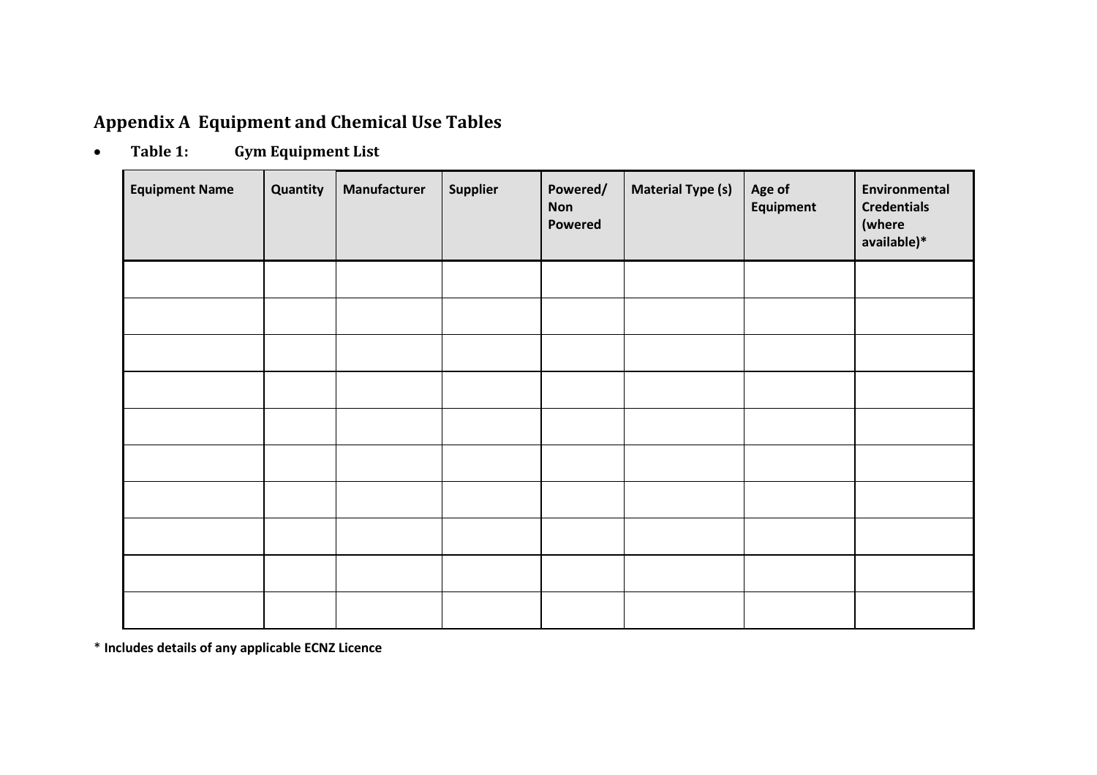## Appendix A Equipment and Chemical Use Tables

•Table 1: Gym Equipment List

| <b>Equipment Name</b> | Quantity | Manufacturer | Supplier | Powered/<br><b>Non</b><br>Powered | <b>Material Type (s)</b> | Age of<br>Equipment | Environmental<br><b>Credentials</b><br>(where<br>available)* |
|-----------------------|----------|--------------|----------|-----------------------------------|--------------------------|---------------------|--------------------------------------------------------------|
|                       |          |              |          |                                   |                          |                     |                                                              |
|                       |          |              |          |                                   |                          |                     |                                                              |
|                       |          |              |          |                                   |                          |                     |                                                              |
|                       |          |              |          |                                   |                          |                     |                                                              |
|                       |          |              |          |                                   |                          |                     |                                                              |
|                       |          |              |          |                                   |                          |                     |                                                              |
|                       |          |              |          |                                   |                          |                     |                                                              |
|                       |          |              |          |                                   |                          |                     |                                                              |
|                       |          |              |          |                                   |                          |                     |                                                              |
|                       |          |              |          |                                   |                          |                     |                                                              |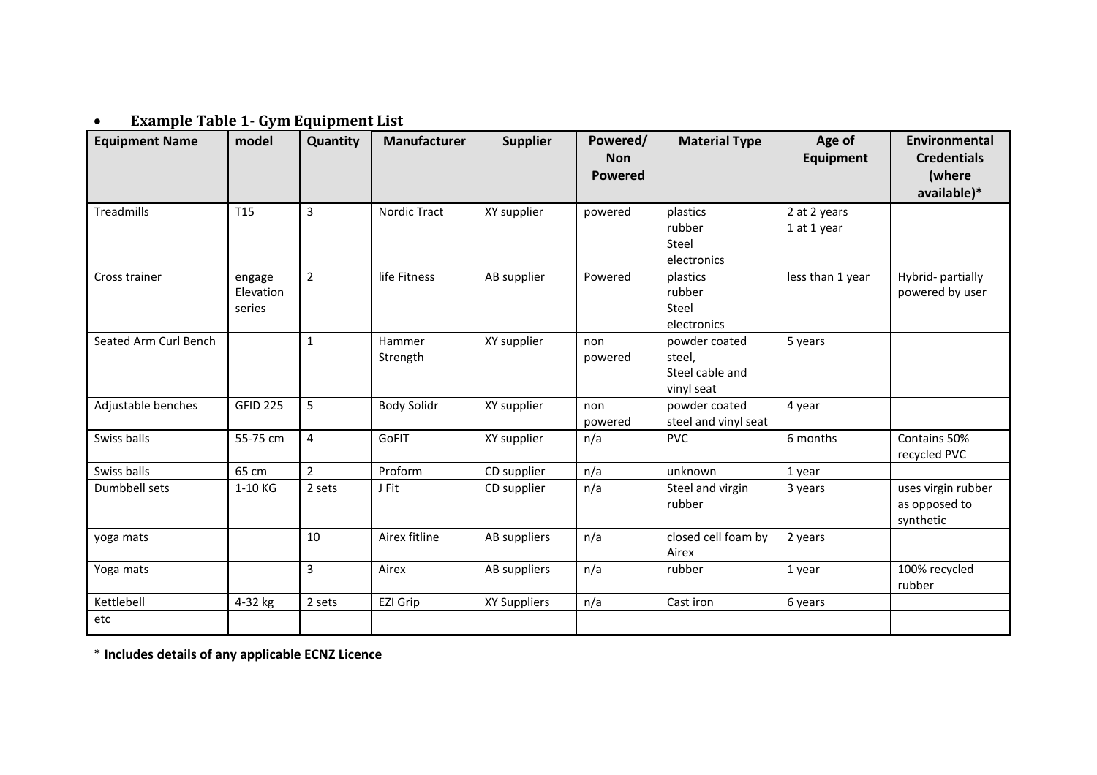#### •Example Table 1- Gym Equipment List

| <b>Equipment Name</b> | model                         | Quantity       | Manufacturer        | <b>Supplier</b> | Powered/<br><b>Non</b><br><b>Powered</b> | <b>Material Type</b>                                     | Age of<br><b>Equipment</b>  | Environmental<br><b>Credentials</b><br>(where<br>available)* |
|-----------------------|-------------------------------|----------------|---------------------|-----------------|------------------------------------------|----------------------------------------------------------|-----------------------------|--------------------------------------------------------------|
| Treadmills            | T15                           | $\overline{3}$ | <b>Nordic Tract</b> | XY supplier     | powered                                  | plastics<br>rubber<br>Steel<br>electronics               | 2 at 2 years<br>1 at 1 year |                                                              |
| Cross trainer         | engage<br>Elevation<br>series | $\overline{2}$ | life Fitness        | AB supplier     | Powered                                  | plastics<br>rubber<br>Steel<br>electronics               | less than 1 year            | Hybrid- partially<br>powered by user                         |
| Seated Arm Curl Bench |                               | $\mathbf{1}$   | Hammer<br>Strength  | XY supplier     | non<br>powered                           | powder coated<br>steel,<br>Steel cable and<br>vinyl seat | 5 years                     |                                                              |
| Adjustable benches    | <b>GFID 225</b>               | 5              | <b>Body Solidr</b>  | XY supplier     | non<br>powered                           | powder coated<br>steel and vinyl seat                    | 4 year                      |                                                              |
| Swiss balls           | 55-75 cm                      | 4              | GoFIT               | XY supplier     | n/a                                      | <b>PVC</b>                                               | 6 months                    | Contains 50%<br>recycled PVC                                 |
| Swiss balls           | 65 cm                         | $\overline{2}$ | Proform             | CD supplier     | n/a                                      | unknown                                                  | 1 year                      |                                                              |
| Dumbbell sets         | 1-10 KG                       | 2 sets         | J Fit               | CD supplier     | n/a                                      | Steel and virgin<br>rubber                               | 3 years                     | uses virgin rubber<br>as opposed to<br>synthetic             |
| yoga mats             |                               | 10             | Airex fitline       | AB suppliers    | n/a                                      | closed cell foam by<br>Airex                             | 2 years                     |                                                              |
| Yoga mats             |                               | $\overline{3}$ | Airex               | AB suppliers    | n/a                                      | rubber                                                   | 1 year                      | 100% recycled<br>rubber                                      |
| Kettlebell            | 4-32 kg                       | 2 sets         | EZI Grip            | XY Suppliers    | n/a                                      | Cast iron                                                | 6 years                     |                                                              |
| etc                   |                               |                |                     |                 |                                          |                                                          |                             |                                                              |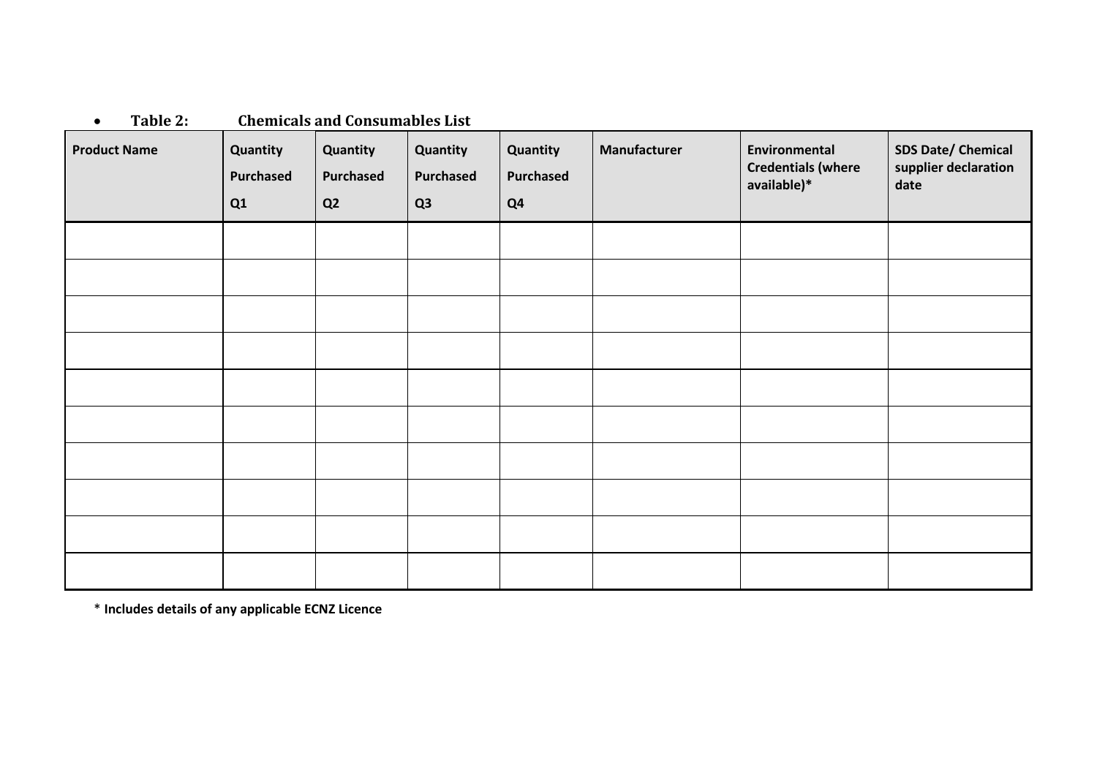| <b>Product Name</b> | Quantity<br>Purchased<br>Q1 | Quantity<br>Purchased<br>Q <sub>2</sub> | Quantity<br>Purchased<br>Q3 | Quantity<br>Purchased<br>Q <sub>4</sub> | Manufacturer | Environmental<br><b>Credentials (where</b><br>available)* | <b>SDS Date/ Chemical</b><br>supplier declaration<br>date |
|---------------------|-----------------------------|-----------------------------------------|-----------------------------|-----------------------------------------|--------------|-----------------------------------------------------------|-----------------------------------------------------------|
|                     |                             |                                         |                             |                                         |              |                                                           |                                                           |
|                     |                             |                                         |                             |                                         |              |                                                           |                                                           |
|                     |                             |                                         |                             |                                         |              |                                                           |                                                           |
|                     |                             |                                         |                             |                                         |              |                                                           |                                                           |
|                     |                             |                                         |                             |                                         |              |                                                           |                                                           |
|                     |                             |                                         |                             |                                         |              |                                                           |                                                           |
|                     |                             |                                         |                             |                                         |              |                                                           |                                                           |
|                     |                             |                                         |                             |                                         |              |                                                           |                                                           |
|                     |                             |                                         |                             |                                         |              |                                                           |                                                           |
|                     |                             |                                         |                             |                                         |              |                                                           |                                                           |

•Table 2: Chemicals and Consumables List